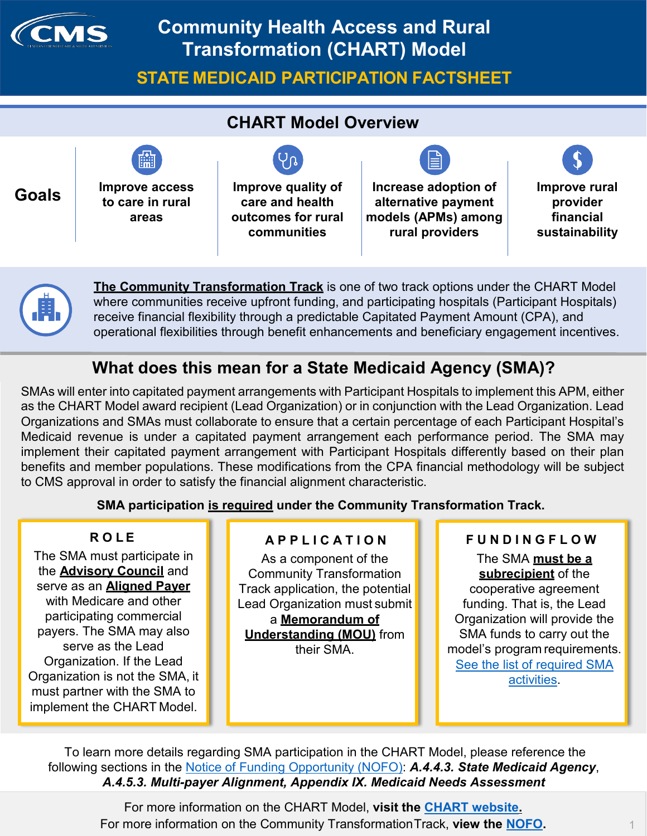

# **Community Health Access and Rural Transformation (CHART) Model**

**STATE MEDICAID PARTICIPATION FACTSHEET**







**The Community Transformation Track** is one of two track options under the CHART Model where communities receive upfront funding, and participating hospitals (Participant Hospitals) receive financial flexibility through a predictable Capitated Payment Amount (CPA), and operational flexibilities through benefit enhancements and beneficiary engagement incentives.

## **What does this mean for a State Medicaid Agency (SMA)?**

SMAs will enter into capitated payment arrangements with Participant Hospitals to implement this APM, either as the CHART Model award recipient (Lead Organization) or in conjunction with the Lead Organization. Lead Organizations and SMAs must collaborate to ensure that a certain percentage of each Participant Hospital's Medicaid revenue is under a capitated payment arrangement each performance period. The SMA may implement their capitated payment arrangement with Participant Hospitals differently based on their plan benefits and member populations. These modifications from the CPA financial methodology will be subject to CMS approval in order to satisfy the financial alignment characteristic.

**SMA participation is required under the Community Transformation Track.**

#### **R O L E**

The SMA must participate in the **Advisory Council** and serve as an **Aligned Payer** with Medicare and other participating commercial payers. The SMA may also serve as the Lead Organization. If the Lead Organization is not the SMA, it must partner with the SMA to implement the CHART Model.

#### **A P P L I C A T I O N**

As a component of the Community Transformation Track application, the potential Lead Organization must submit a **Memorandum of Understanding (MOU)** from their SMA.

## **F U N D I N G F L O W**

The SMA **must be a subrecipient** of the cooperative agreement funding. That is, the Lead Organization will provide the SMA funds to carry out the model's program requirements. [See the list of required SMA](#page-2-0) [activities.](#page-2-0)

To learn more details regarding SMA participation in the CHART Model, please reference the following sections in the [Notice of Funding Opportunity \(NOFO\):](https://www.grants.gov/web/grants/search-grants.html?keywords=93.624) *A.4.4.3. State Medicaid Agency*, *A.4.5.3. Multi-payer Alignment, Appendix IX. Medicaid Needs Assessment*

> For more information on the CHART Model, **visit the [CHART website.](https://innovation.cms.gov/initiatives/chart-model/)** For more information on the Community TransformationTrack, **view the [NOFO.](https://www.grants.gov/web/grants/search-grants.html?keywords=93.624)** 1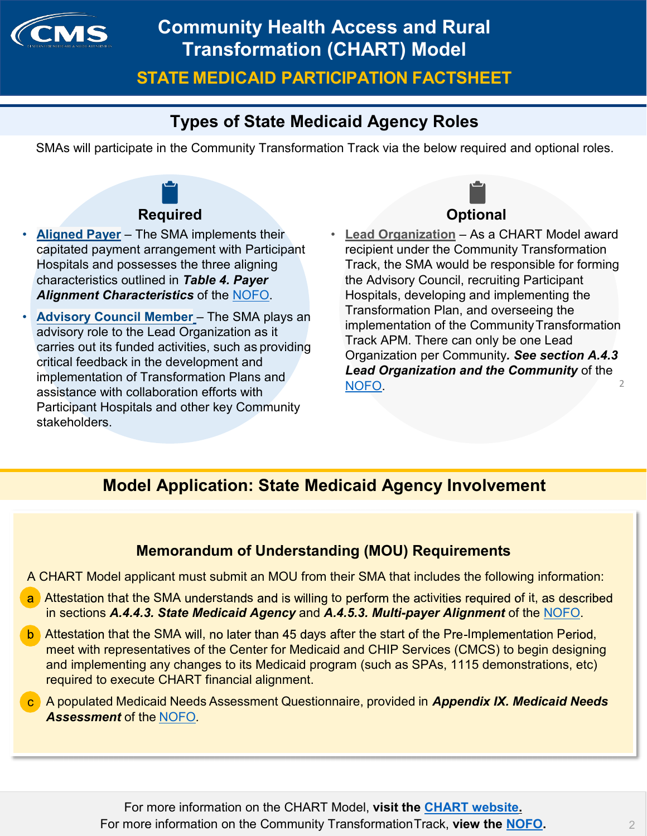

**STATE MEDICAID PARTICIPATION FACTSHEET**

## **Types of State Medicaid Agency Roles**

SMAs will participate in the Community Transformation Track via the below required and optional roles.



### **Required**

- **Aligned Payer** The SMA implements their capitated payment arrangement with Participant Hospitals and possesses the three aligning characteristics outlined in *Table 4. Payer Alignment Characteristics* of the [NOFO.](https://www.grants.gov/web/grants/search-grants.html?keywords=93.624)
- **Advisory Council Member** The SMA plays an advisory role to the Lead Organization as it carries out its funded activities, such as providing critical feedback in the development and implementation of Transformation Plans and assistance with collaboration efforts with Participant Hospitals and other key Community stakeholders.



**Lead Organization** – As a CHART Model award recipient under the Community Transformation Track, the SMA would be responsible for forming the Advisory Council, recruiting Participant Hospitals, developing and implementing the Transformation Plan, and overseeing the implementation of the Community Transformation Track APM. There can only be one Lead Organization per Community*. See section A.4.3 Lead Organization and the Community* of the [NOFO.](https://www.grants.gov/web/grants/search-grants.html?keywords=93.624) 2

## **Model Application: State Medicaid Agency Involvement**

#### **Memorandum of Understanding (MOU) Requirements**

A CHART Model applicant must submit an MOU from their SMA that includes the following information:

- a Attestation that the SMA understands and is willing to perform the activities required of it, as described in sections *A.4.4.3. State Medicaid Agency* and *A.4.5.3. Multi-payer Alignment* of the [NOFO.](https://www.grants.gov/web/grants/search-grants.html?keywords=93.624)
- b. Attestation that the SMA will, no later than 45 days after the start of the Pre-Implementation Period, meet with representatives of the Center for Medicaid and CHIP Services (CMCS) to begin designing and implementing any changes to its Medicaid program (such as SPAs, 1115 demonstrations, etc) required to execute CHART financial alignment.
- c A populated Medicaid Needs Assessment Questionnaire, provided in *Appendix IX. Medicaid Needs Assessment* of the [NOFO](https://www.grants.gov/web/grants/search-grants.html?keywords=93.624)*.*

For more information on the CHART Model, **visit the [CHART website.](https://innovation.cms.gov/initiatives/chart-model/)** For more information on the Community TransformationTrack, **view the [NOFO.](https://www.grants.gov/web/grants/search-grants.html?keywords=93.624)** 2